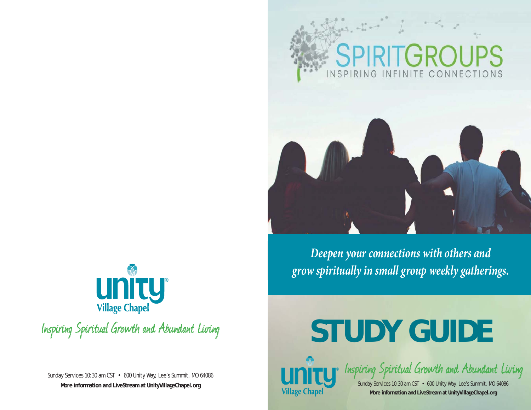



*Deepen your connections with others and grow spiritually in small group weekly gatherings.*



Inspiring Spiritual Growth and Abundant Living

Sunday Services 10:30 am CST • 600 Unity Way, Lee's Summit, MO 64086 **More information and LiveStream at UnityVillageChapel.org**

# **STUDY GUIDE**



Inspiring Spiritual Growth and Abundant Living

Sunday Services 10:30 am CST • 600 Unity Way, Lee's Summit, MO 64086 **More information and LiveStream at UnityVillageChapel.org**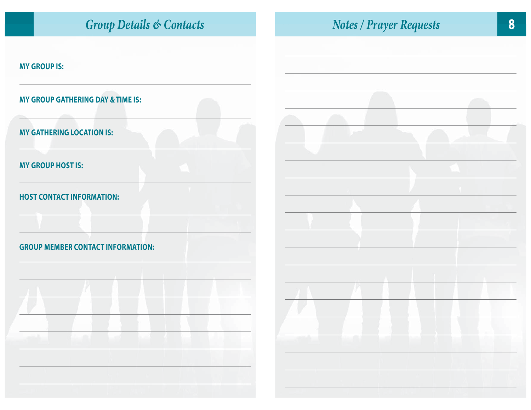| <b>Group Details &amp; Contacts</b>                                          | 8<br><b>Notes / Prayer Requests</b> |
|------------------------------------------------------------------------------|-------------------------------------|
| <b>MY GROUP IS:</b>                                                          |                                     |
| <b>MY GROUP GATHERING DAY &amp; TIME IS:</b>                                 |                                     |
| <b>MY GATHERING LOCATION IS:</b>                                             |                                     |
| <b>MY GROUP HOST IS:</b>                                                     |                                     |
| <b>HOST CONTACT INFORMATION:</b><br><b>GROUP MEMBER CONTACT INFORMATION:</b> |                                     |
| and the control of the control of the                                        |                                     |
|                                                                              |                                     |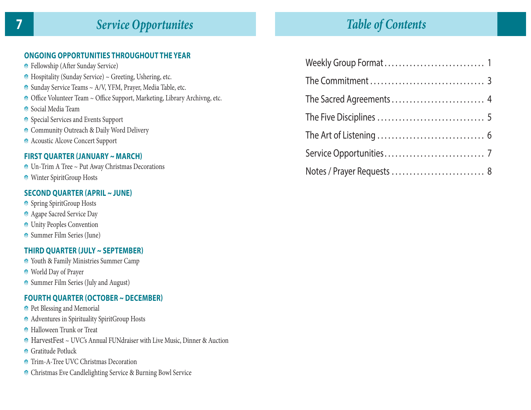# *Service Opportunites*

## **ONGOING OPPORTUNITIES THROUGHOUT THE YEAR**

- **•** Fellowship (After Sunday Service)
- Hospitality (Sunday Service) ~ Greeting, Ushering, etc.
- Sunday Service Teams ~ A/V, YFM, Prayer, Media Table, etc.
- $\bullet$  Office Volunteer Team  $\sim$  Office Support, Marketing, Library Archivng, etc.
- Social Media Team
- Special Services and Events Support
- **Community Outreach & Daily Word Delivery**
- Acoustic Alcove Concert Support

## **FIRST QUARTER (JANUARY ~ MARCH)**

- Un-Trim A Tree ~ Put Away Christmas Decorations
- **Winter SpiritGroup Hosts**

#### **SECOND QUARTER (APRIL ~ JUNE)**

- **Spring SpiritGroup Hosts**
- **Agape Sacred Service Day**
- **O** Unity Peoples Convention
- Summer Film Series (June)

## **THIRD QUARTER (JULY ~ SEPTEMBER)**

- Youth & Family Ministries Summer Camp
- World Day of Prayer
- **Summer Film Series (July and August)**

## **FOURTH QUARTER (OCTOBER ~ DECEMBER)**

- **•** Pet Blessing and Memorial
- **Adventures in Spirituality SpiritGroup Hosts**
- **•** Halloween Trunk or Treat
- HarvestFest ~ UVC's Annual FUNdraiser with Live Music, Dinner & Auction
- **Gratitude Potluck**
- **Trim-A-Tree UVC Christmas Decoration**
- **O** Christmas Eve Candlelighting Service & Burning Bowl Service

# *Table of Contents*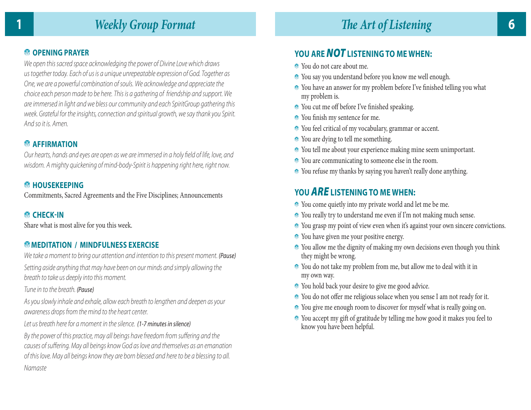## **<sup><b>**</sup> OPENING PRAYER</sup>

We open this sacred space acknowledging the power of Divine Love which draws us together today. Each of us is a unique unrepeatable expression of God. Together as One, we are a powerful combination of souls. We acknowledge and appreciate the choice each person made to be here. This is a gathering of friendship and support. We are immersed in light and we bless our community and each SpiritGroup gathering this week. Grateful for the insights, connection and spiritual growth, we say thank you Spirit. And so it is. Amen.

## **AFFIRMATION**

Our hearts, hands and eyes are open as we are immersed in a holy field of life, love, and wisdom. A mighty quickening of mind-body-Spirit is happening right here, right now.

## **<sup><b>**</sup> HOUSEKEEPING</sup>

Commitments, Sacred Agreements and the Five Disciplines; Announcements

## **<sup>C</sup>** CHECK-IN

Share what is most alive for you this week.

## **MEDITATION / MINDFULNESS EXERCISE**

We take a moment to bring our attention and intention to this present moment. (Pause) Setting aside anything that may have been on our minds and simply allowing the breath to take us deeply into this moment.

#### Tune in to the breath. (Pause)

As you slowly inhale and exhale, allow each breath to lengthen and deepen as your awareness drops from the mind to the heart center.

Let us breath here for a moment in the silence. (1-7 minutes in silence)

By the power of this practice, may all beings have freedom from suffering and the causes of suffering. May all beings know God as love and themselves as an emanation of this love. May all beings know they are born blessed and here to be a blessing to all. Namaste

## **YOU ARE** *NOT* **LISTENING TO ME WHEN:**

- You do not care about me.
- You say you understand before you know me well enough.
- $\bullet$  You have an answer for my problem before I've finished telling you what my problem is.
- $\bullet$  You cut me off before I've finished speaking.
- $\bullet$  You finish my sentence for me.
- You feel critical of my vocabulary, grammar or accent.
- $\bullet$  You are dying to tell me something.
- You tell me about your experience making mine seem unimportant.
- You are communicating to someone else in the room.
- You refuse my thanks by saying you haven't really done anything.

## **YOU** *ARE* **LISTENING TO ME WHEN:**

- You come quietly into my private world and let me be me.
- You really try to understand me even if I'm not making much sense.
- You grasp my point of view even when it's against your own sincere convictions.
- $\bullet$  You have given me your positive energy.
- You allow me the dignity of making my own decisions even though you think they might be wrong.
- You do not take my problem from me, but allow me to deal with it in my own way.
- You hold back your desire to give me good advice.
- $\bullet$  You do not offer me religious solace when you sense I am not ready for it.
- You give me enough room to discover for myself what is really going on.
- You accept my gift of gratitude by telling me how good it makes you feel to know you have been helpful.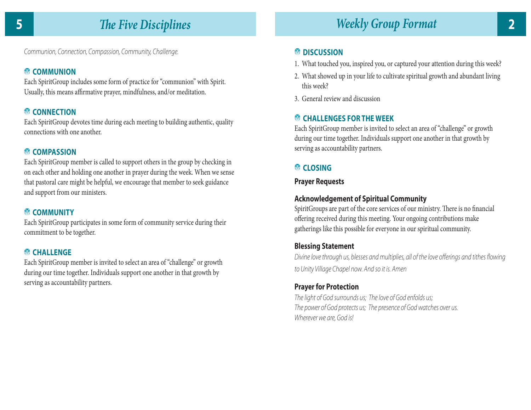Communion, Connection, Compassion, Community, Challenge.

## **COMMUNION**

Each SpiritGroup includes some form of practice for "communion" with Spirit. Usually, this means affirmative prayer, mindfulness, and/or meditation.

## **<sup><b>**</sup> CONNECTION</sup>

Each SpiritGroup devotes time during each meeting to building authentic, quality connections with one another.

## **COMPASSION**

Each SpiritGroup member is called to support others in the group by checking in on each other and holding one another in prayer during the week. When we sense that pastoral care might be helpful, we encourage that member to seek guidance and support from our ministers.

## **COMMUNITY**

Each SpiritGroup participates in some form of community service during their commitment to be together.

## **<sup><sup>7</sup>**</sup> CHALLENGE</sup>

Each SpiritGroup member is invited to select an area of "challenge" or growth during our time together. Individuals support one another in that growth by serving as accountability partners.

## **<b>M**</del> DISCUSSION

- 1. What touched you, inspired you, or captured your attention during this week?
- 2. What showed up in your life to cultivate spiritual growth and abundant living this week?
- 3. General review and discussion

## **CHALLENGES FOR THE WEEK**

Each SpiritGroup member is invited to select an area of "challenge" or growth during our time together. Individuals support one another in that growth by serving as accountability partners.

## **CLOSING**

## **Prayer Requests**

## **Acknowledgement of Spiritual Community**

SpiritGroups are part of the core services of our ministry. There is no financial offering received during this meeting. Your ongoing contributions make gatherings like this possible for everyone in our spiritual community.

## **Blessing Statement**

Divine love through us, blesses and multiplies, all of the love offerings and tithes flowing to Unity Village Chapel now. And so it is. Amen

## **Prayer for Protection**

The light of God surrounds us; The love of God enfolds us; The power of God protects us; The presence of God watches over us. Wherever we are, God is!